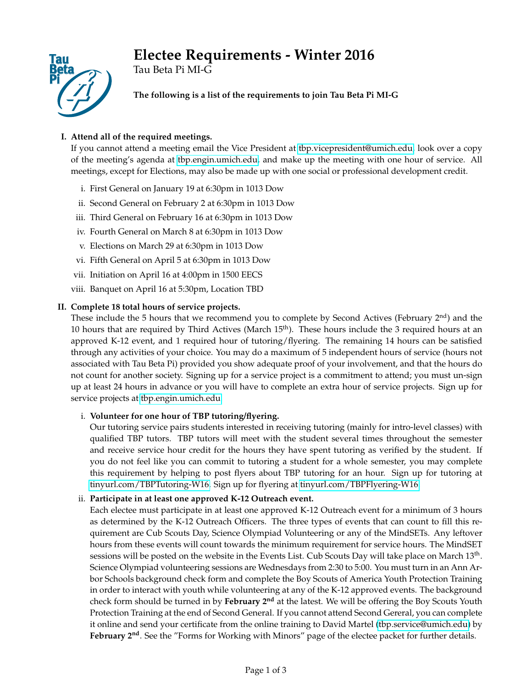# **Electee Requirements - Winter 2016**



Tau Beta Pi MI-G

**The following is a list of the requirements to join Tau Beta Pi MI-G**

## **I. Attend all of the required meetings.**

If you cannot attend a meeting email the Vice President at [tbp.vicepresident@umich.edu,](mailto:tbp.vicepresident@umich.edu) look over a copy of the meeting's agenda at [tbp.engin.umich.edu,](http://tbp.engin.umich.edu) and make up the meeting with one hour of service. All meetings, except for Elections, may also be made up with one social or professional development credit.

- i. First General on January 19 at 6:30pm in 1013 Dow
- ii. Second General on February 2 at 6:30pm in 1013 Dow
- iii. Third General on February 16 at 6:30pm in 1013 Dow
- iv. Fourth General on March 8 at 6:30pm in 1013 Dow
- v. Elections on March 29 at 6:30pm in 1013 Dow
- vi. Fifth General on April 5 at 6:30pm in 1013 Dow
- vii. Initiation on April 16 at 4:00pm in 1500 EECS
- viii. Banquet on April 16 at 5:30pm, Location TBD

## **II. Complete 18 total hours of service projects.**

These include the 5 hours that we recommend you to complete by Second Actives (February 2<sup>nd</sup>) and the 10 hours that are required by Third Actives (March  $15<sup>th</sup>$ ). These hours include the 3 required hours at an approved K-12 event, and 1 required hour of tutoring/flyering. The remaining 14 hours can be satisfied through any activities of your choice. You may do a maximum of 5 independent hours of service (hours not associated with Tau Beta Pi) provided you show adequate proof of your involvement, and that the hours do not count for another society. Signing up for a service project is a commitment to attend; you must un-sign up at least 24 hours in advance or you will have to complete an extra hour of service projects. Sign up for service projects at [tbp.engin.umich.edu.](http://tbp.engin.umich.edu)

## i. **Volunteer for one hour of TBP tutoring/flyering.**

Our tutoring service pairs students interested in receiving tutoring (mainly for intro-level classes) with qualified TBP tutors. TBP tutors will meet with the student several times throughout the semester and receive service hour credit for the hours they have spent tutoring as verified by the student. If you do not feel like you can commit to tutoring a student for a whole semester, you may complete this requirement by helping to post flyers about TBP tutoring for an hour. Sign up for tutoring at [tinyurl.com/TBPTutoring-W16.](http://tinyurl.com/TBPTutoring-W16) Sign up for flyering at [tinyurl.com/TBPFlyering-W16.](http://tinyurl.com/TBPFlyering-W16)

## ii. **Participate in at least one approved K-12 Outreach event.**

Each electee must participate in at least one approved K-12 Outreach event for a minimum of 3 hours as determined by the K-12 Outreach Officers. The three types of events that can count to fill this requirement are Cub Scouts Day, Science Olympiad Volunteering or any of the MindSETs. Any leftover hours from these events will count towards the minimum requirement for service hours. The MindSET sessions will be posted on the website in the Events List. Cub Scouts Day will take place on March  $13^{\text{th}}$ . Science Olympiad volunteering sessions are Wednesdays from 2:30 to 5:00. You must turn in an Ann Arbor Schools background check form and complete the Boy Scouts of America Youth Protection Training in order to interact with youth while volunteering at any of the K-12 approved events. The background check form should be turned in by **February 2nd** at the latest. We will be offering the Boy Scouts Youth Protection Training at the end of Second General. If you cannot attend Second Gereral, you can complete it online and send your certificate from the online training to David Martel [\(tbp.service@umich.edu\)](mailto:tbp.service@umich.edu ) by **February 2nd**. See the "Forms for Working with Minors" page of the electee packet for further details.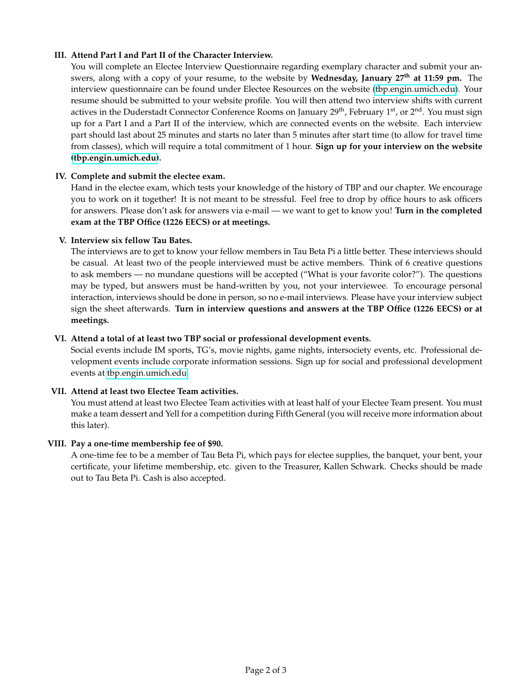## **III. Attend Part I and Part II of the Character Interview.**

You will complete an Electee Interview Questionnaire regarding exemplary character and submit your answers, along with a copy of your resume, to the website by **Wednesday, January 27th at 11:59 pm.** The interview questionnaire can be found under Electee Resources on the website [\(tbp.engin.umich.edu\)](http://tbp.engin.umich.edu). Your resume should be submitted to your website profile. You will then attend two interview shifts with current actives in the Duderstadt Connector Conference Rooms on January 29<sup>th</sup>, February 1<sup>st</sup>, or 2<sup>nd</sup>. You must sign up for a Part I and a Part II of the interview, which are connected events on the website. Each interview part should last about 25 minutes and starts no later than 5 minutes after start time (to allow for travel time from classes), which will require a total commitment of 1 hour. **Sign up for your interview on the website [\(tbp.engin.umich.edu\)](https://tbp.engin.umich.edu/calendar/event_list/).**

## **IV. Complete and submit the electee exam.**

Hand in the electee exam, which tests your knowledge of the history of TBP and our chapter. We encourage you to work on it together! It is not meant to be stressful. Feel free to drop by office hours to ask officers for answers. Please don't ask for answers via e-mail — we want to get to know you! **Turn in the completed exam at the TBP Office (1226 EECS) or at meetings.**

## **V. Interview six fellow Tau Bates.**

The interviews are to get to know your fellow members in Tau Beta Pi a little better. These interviews should be casual. At least two of the people interviewed must be active members. Think of 6 creative questions to ask members — no mundane questions will be accepted ("What is your favorite color?"). The questions may be typed, but answers must be hand-written by you, not your interviewee. To encourage personal interaction, interviews should be done in person, so no e-mail interviews. Please have your interview subject sign the sheet afterwards. **Turn in interview questions and answers at the TBP Office (1226 EECS) or at meetings.**

## **VI. Attend a total of at least two TBP social or professional development events.**

Social events include IM sports, TG's, movie nights, game nights, intersociety events, etc. Professional development events include corporate information sessions. Sign up for social and professional development events at [tbp.engin.umich.edu.](http://tbp.engin.umich.edu)

## **VII. Attend at least two Electee Team activities.**

You must attend at least two Electee Team activities with at least half of your Electee Team present. You must make a team dessert and Yell for a competition during Fifth General (you will receive more information about this later).

## **VIII. Pay a one-time membership fee of \$90.**

A one-time fee to be a member of Tau Beta Pi, which pays for electee supplies, the banquet, your bent, your certificate, your lifetime membership, etc. given to the Treasurer, Kallen Schwark. Checks should be made out to Tau Beta Pi. Cash is also accepted.